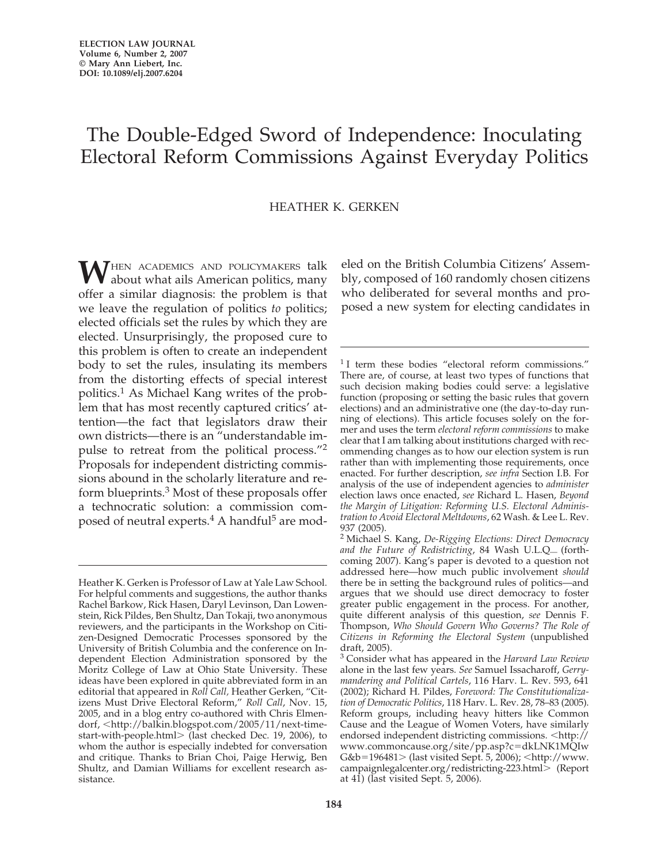# The Double-Edged Sword of Independence: Inoculating Electoral Reform Commissions Against Everyday Politics

## HEATHER K. GERKEN

WHEN ACADEMICS AND POLICYMAKERS talk<br>
about what ails American politics, many offer a similar diagnosis: the problem is that we leave the regulation of politics *to* politics; elected officials set the rules by which they are elected. Unsurprisingly, the proposed cure to this problem is often to create an independent body to set the rules, insulating its members from the distorting effects of special interest politics.<sup>1</sup> As Michael Kang writes of the problem that has most recently captured critics' attention—the fact that legislators draw their own districts—there is an "understandable impulse to retreat from the political process."2 Proposals for independent districting commissions abound in the scholarly literature and reform blueprints.<sup>3</sup> Most of these proposals offer a technocratic solution: a commission composed of neutral experts.<sup>4</sup> A handful<sup>5</sup> are modeled on the British Columbia Citizens' Assembly, composed of 160 randomly chosen citizens who deliberated for several months and proposed a new system for electing candidates in

Heather K. Gerken is Professor of Law at Yale Law School. For helpful comments and suggestions, the author thanks Rachel Barkow, Rick Hasen, Daryl Levinson, Dan Lowenstein, Rick Pildes, Ben Shultz, Dan Tokaji, two anonymous reviewers, and the participants in the Workshop on Citizen-Designed Democratic Processes sponsored by the University of British Columbia and the conference on Independent Election Administration sponsored by the Moritz College of Law at Ohio State University. These ideas have been explored in quite abbreviated form in an editorial that appeared in *Roll Call,* Heather Gerken, "Citizens Must Drive Electoral Reform," *Roll Call*, Nov. 15, 2005, and in a blog entry co-authored with Chris Elmendorf, -http://balkin.blogspot.com/2005/11/next-timestart-with-people.html> (last checked Dec. 19, 2006), to whom the author is especially indebted for conversation and critique. Thanks to Brian Choi, Paige Herwig, Ben Shultz, and Damian Williams for excellent research assistance.

<sup>&</sup>lt;sup>1</sup>I term these bodies "electoral reform commissions." There are, of course, at least two types of functions that such decision making bodies could serve: a legislative function (proposing or setting the basic rules that govern elections) and an administrative one (the day-to-day running of elections). This article focuses solely on the former and uses the term *electoral reform commissions* to make clear that I am talking about institutions charged with recommending changes as to how our election system is run rather than with implementing those requirements, once enacted. For further description, *see infra* Section I.B. For analysis of the use of independent agencies to *administer* election laws once enacted, *see* Richard L. Hasen, *Beyond the Margin of Litigation: Reforming U.S. Electoral Administration to Avoid Electoral Meltdowns*, 62 Wash. & Lee L. Rev. 937 (2005).

<sup>2</sup> Michael S. Kang, *De-Rigging Elections: Direct Democracy and the Future of Redistricting*, 84 Wash U.L.Q— (forthcoming 2007). Kang's paper is devoted to a question not addressed here—how much public involvement *should* there be in setting the background rules of politics—and argues that we should use direct democracy to foster greater public engagement in the process. For another, quite different analysis of this question, *see* Dennis F. Thompson, *Who Should Govern Who Governs? The Role of Citizens in Reforming the Electoral System* (unpublished draft, 2005).

<sup>3</sup> Consider what has appeared in the *Harvard Law Review* alone in the last few years. *See* Samuel Issacharoff, *Gerrymandering and Political Cartels*, 116 Harv. L. Rev. 593, 641 (2002); Richard H. Pildes, *Foreword: The Constitutionalization of Democratic Politics*, 118 Harv. L. Rev. 28, 78–83 (2005). Reform groups, including heavy hitters like Common Cause and the League of Women Voters, have similarly endorsed independent districting commissions. <http:// www.commoncause.org/site/pp.asp?c=dkLNK1MQIw G&b=196481> (last visited Sept. 5, 2006); <http://www. campaignlegalcenter.org/redistricting-223.html> (Report at 41) (last visited Sept. 5, 2006).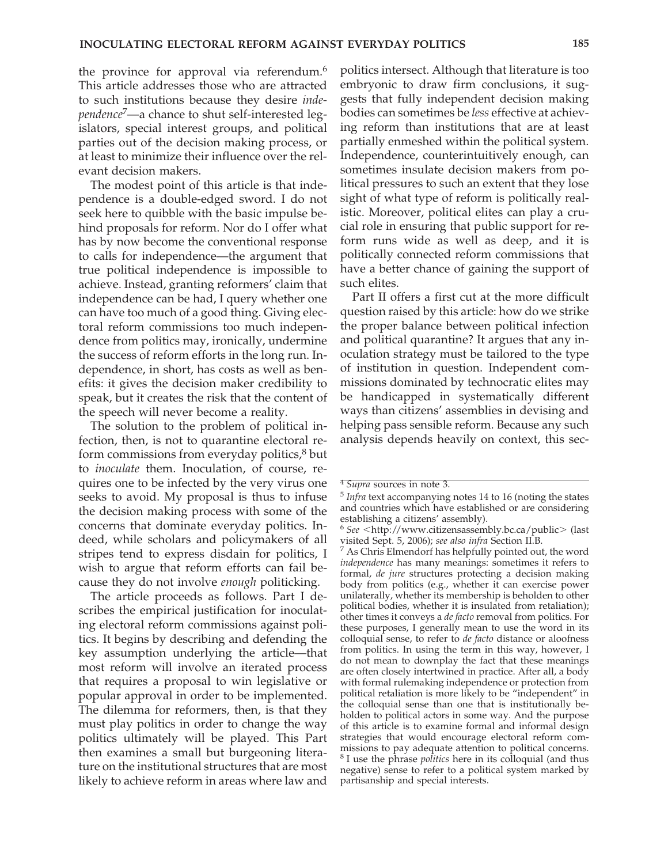the province for approval via referendum.<sup>6</sup> This article addresses those who are attracted to such institutions because they desire *independence*7—a chance to shut self-interested legislators, special interest groups, and political parties out of the decision making process, or at least to minimize their influence over the relevant decision makers.

The modest point of this article is that independence is a double-edged sword. I do not seek here to quibble with the basic impulse behind proposals for reform. Nor do I offer what has by now become the conventional response to calls for independence—the argument that true political independence is impossible to achieve. Instead, granting reformers' claim that independence can be had, I query whether one can have too much of a good thing. Giving electoral reform commissions too much independence from politics may, ironically, undermine the success of reform efforts in the long run. Independence, in short, has costs as well as benefits: it gives the decision maker credibility to speak, but it creates the risk that the content of the speech will never become a reality.

The solution to the problem of political infection, then, is not to quarantine electoral reform commissions from everyday politics, $8$  but to *inoculate* them. Inoculation, of course, requires one to be infected by the very virus one seeks to avoid. My proposal is thus to infuse the decision making process with some of the concerns that dominate everyday politics. Indeed, while scholars and policymakers of all stripes tend to express disdain for politics, I wish to argue that reform efforts can fail because they do not involve *enough* politicking.

The article proceeds as follows. Part I describes the empirical justification for inoculating electoral reform commissions against politics. It begins by describing and defending the key assumption underlying the article—that most reform will involve an iterated process that requires a proposal to win legislative or popular approval in order to be implemented. The dilemma for reformers, then, is that they must play politics in order to change the way politics ultimately will be played. This Part then examines a small but burgeoning literature on the institutional structures that are most likely to achieve reform in areas where law and

politics intersect. Although that literature is too embryonic to draw firm conclusions, it suggests that fully independent decision making bodies can sometimes be *less* effective at achieving reform than institutions that are at least partially enmeshed within the political system. Independence, counterintuitively enough, can sometimes insulate decision makers from political pressures to such an extent that they lose sight of what type of reform is politically realistic. Moreover, political elites can play a crucial role in ensuring that public support for reform runs wide as well as deep, and it is politically connected reform commissions that have a better chance of gaining the support of such elites.

Part II offers a first cut at the more difficult question raised by this article: how do we strike the proper balance between political infection and political quarantine? It argues that any inoculation strategy must be tailored to the type of institution in question. Independent commissions dominated by technocratic elites may be handicapped in systematically different ways than citizens' assemblies in devising and helping pass sensible reform. Because any such analysis depends heavily on context, this sec-

<sup>4</sup> *Supra* sources in note 3.

<sup>5</sup> *Infra* text accompanying notes 14 to 16 (noting the states and countries which have established or are considering establishing a citizens' assembly).

<sup>&</sup>lt;sup>6</sup> See <http://www.citizensassembly.bc.ca/public> (last

visited Sept. 5, 2006); *see also infra* Section II.B. <sup>7</sup> As Chris Elmendorf has helpfully pointed out, the word *independence* has many meanings: sometimes it refers to formal, *de jure* structures protecting a decision making body from politics (e.g., whether it can exercise power unilaterally, whether its membership is beholden to other political bodies, whether it is insulated from retaliation); other times it conveys a *de facto* removal from politics. For these purposes, I generally mean to use the word in its colloquial sense, to refer to *de facto* distance or aloofness from politics. In using the term in this way, however, I do not mean to downplay the fact that these meanings are often closely intertwined in practice. After all, a body with formal rulemaking independence or protection from political retaliation is more likely to be "independent" in the colloquial sense than one that is institutionally beholden to political actors in some way. And the purpose of this article is to examine formal and informal design strategies that would encourage electoral reform commissions to pay adequate attention to political concerns. <sup>8</sup> I use the phrase *politics* here in its colloquial (and thus negative) sense to refer to a political system marked by partisanship and special interests.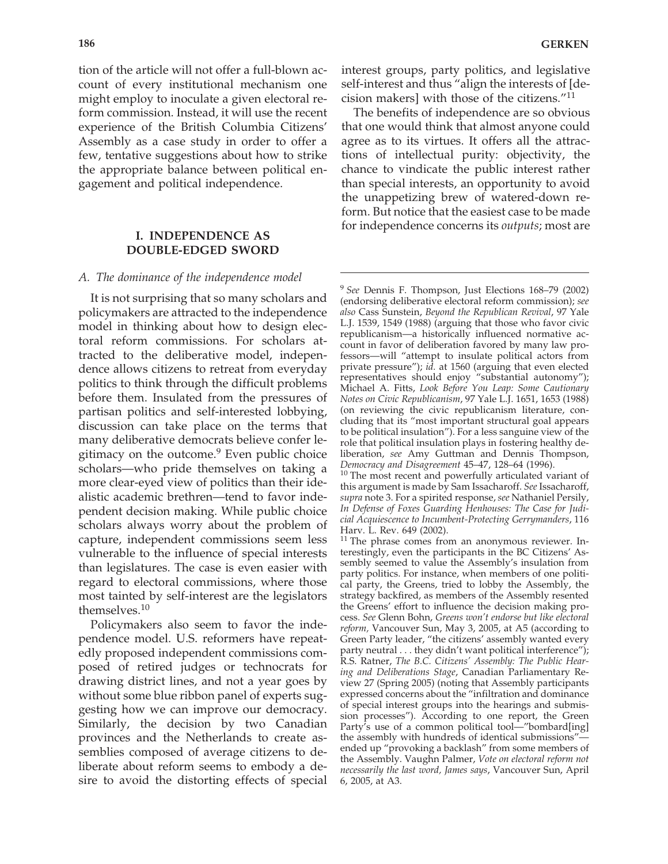tion of the article will not offer a full-blown account of every institutional mechanism one might employ to inoculate a given electoral reform commission. Instead, it will use the recent experience of the British Columbia Citizens' Assembly as a case study in order to offer a few, tentative suggestions about how to strike the appropriate balance between political engagement and political independence.

#### **I. INDEPENDENCE AS DOUBLE-EDGED SWORD**

#### *A. The dominance of the independence model*

It is not surprising that so many scholars and policymakers are attracted to the independence model in thinking about how to design electoral reform commissions. For scholars attracted to the deliberative model, independence allows citizens to retreat from everyday politics to think through the difficult problems before them. Insulated from the pressures of partisan politics and self-interested lobbying, discussion can take place on the terms that many deliberative democrats believe confer legitimacy on the outcome.<sup>9</sup> Even public choice scholars—who pride themselves on taking a more clear-eyed view of politics than their idealistic academic brethren—tend to favor independent decision making. While public choice scholars always worry about the problem of capture, independent commissions seem less vulnerable to the influence of special interests than legislatures. The case is even easier with regard to electoral commissions, where those most tainted by self-interest are the legislators themselves.<sup>10</sup>

Policymakers also seem to favor the independence model. U.S. reformers have repeatedly proposed independent commissions composed of retired judges or technocrats for drawing district lines, and not a year goes by without some blue ribbon panel of experts suggesting how we can improve our democracy. Similarly, the decision by two Canadian provinces and the Netherlands to create assemblies composed of average citizens to deliberate about reform seems to embody a desire to avoid the distorting effects of special interest groups, party politics, and legislative self-interest and thus "align the interests of [decision makers] with those of the citizens."11

The benefits of independence are so obvious that one would think that almost anyone could agree as to its virtues. It offers all the attractions of intellectual purity: objectivity, the chance to vindicate the public interest rather than special interests, an opportunity to avoid the unappetizing brew of watered-down reform. But notice that the easiest case to be made for independence concerns its *outputs*; most are

<sup>9</sup> *See* Dennis F. Thompson, Just Elections 168–79 (2002) (endorsing deliberative electoral reform commission); *see also* Cass Sunstein, *Beyond the Republican Revival*, 97 Yale L.J. 1539, 1549 (1988) (arguing that those who favor civic republicanism—a historically influenced normative account in favor of deliberation favored by many law professors—will "attempt to insulate political actors from private pressure"); *id.* at 1560 (arguing that even elected representatives should enjoy "substantial autonomy"); Michael A. Fitts, *Look Before You Leap: Some Cautionary Notes on Civic Republicanism*, 97 Yale L.J. 1651, 1653 (1988) (on reviewing the civic republicanism literature, concluding that its "most important structural goal appears to be political insulation"). For a less sanguine view of the role that political insulation plays in fostering healthy deliberation, *see* Amy Guttman and Dennis Thompson,

<sup>&</sup>lt;sup>10</sup> The most recent and powerfully articulated variant of this argument is made by Sam Issacharoff. *See* Issacharoff, *supra* note 3. For a spirited response, *see* Nathaniel Persily, *In Defense of Foxes Guarding Henhouses: The Case for Judicial Acquiescence to Incumbent-Protecting Gerrymanders*, 116 Harv. L. Rev. 649 (2002).

<sup>&</sup>lt;sup>11</sup> The phrase comes from an anonymous reviewer. Interestingly, even the participants in the BC Citizens' Assembly seemed to value the Assembly's insulation from party politics. For instance, when members of one political party, the Greens, tried to lobby the Assembly, the strategy backfired, as members of the Assembly resented the Greens' effort to influence the decision making process. *See* Glenn Bohn, *Greens won't endorse but like electoral reform,* Vancouver Sun, May 3, 2005, at A5 (according to Green Party leader, "the citizens' assembly wanted every party neutral . . . they didn't want political interference"); R.S. Ratner, *The B.C. Citizens' Assembly: The Public Hearing and Deliberations Stage*, Canadian Parliamentary Review 27 (Spring 2005) (noting that Assembly participants expressed concerns about the "infiltration and dominance of special interest groups into the hearings and submission processes"). According to one report, the Green Party's use of a common political tool—"bombard[ing] the assembly with hundreds of identical submissions" ended up "provoking a backlash" from some members of the Assembly. Vaughn Palmer, *Vote on electoral reform not necessarily the last word, James says*, Vancouver Sun, April 6, 2005, at A3.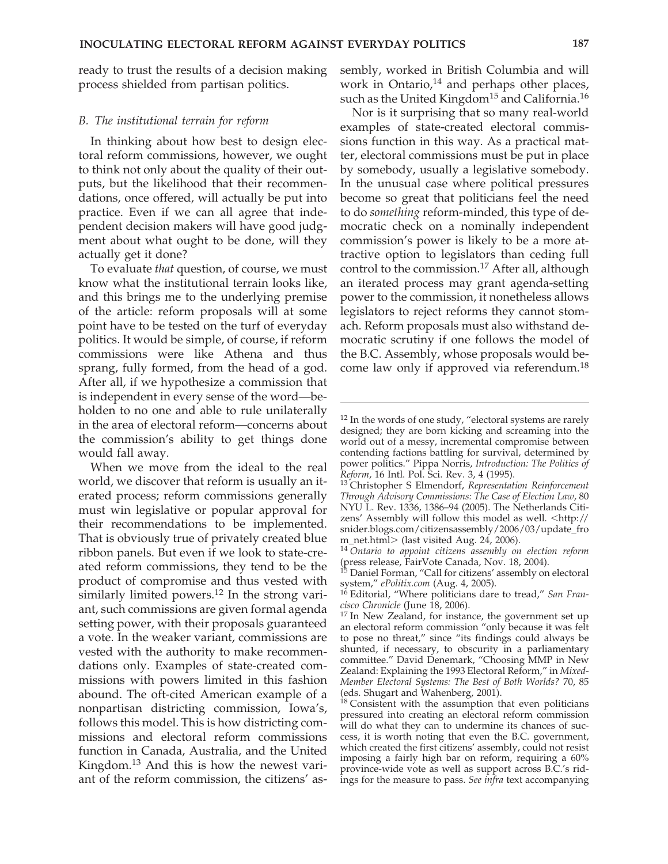ready to trust the results of a decision making process shielded from partisan politics.

#### *B. The institutional terrain for reform*

In thinking about how best to design electoral reform commissions, however, we ought to think not only about the quality of their outputs, but the likelihood that their recommendations, once offered, will actually be put into practice. Even if we can all agree that independent decision makers will have good judgment about what ought to be done, will they actually get it done?

To evaluate *that* question, of course, we must know what the institutional terrain looks like, and this brings me to the underlying premise of the article: reform proposals will at some point have to be tested on the turf of everyday politics. It would be simple, of course, if reform commissions were like Athena and thus sprang, fully formed, from the head of a god. After all, if we hypothesize a commission that is independent in every sense of the word—beholden to no one and able to rule unilaterally in the area of electoral reform—concerns about the commission's ability to get things done would fall away.

When we move from the ideal to the real world, we discover that reform is usually an iterated process; reform commissions generally must win legislative or popular approval for their recommendations to be implemented. That is obviously true of privately created blue ribbon panels. But even if we look to state-created reform commissions, they tend to be the product of compromise and thus vested with similarly limited powers.<sup>12</sup> In the strong variant, such commissions are given formal agenda setting power, with their proposals guaranteed a vote. In the weaker variant, commissions are vested with the authority to make recommendations only. Examples of state-created commissions with powers limited in this fashion abound. The oft-cited American example of a nonpartisan districting commission, Iowa's, follows this model. This is how districting commissions and electoral reform commissions function in Canada, Australia, and the United Kingdom.<sup>13</sup> And this is how the newest variant of the reform commission, the citizens' assembly, worked in British Columbia and will work in Ontario, $14$  and perhaps other places, such as the United Kingdom<sup>15</sup> and California.<sup>16</sup>

Nor is it surprising that so many real-world examples of state-created electoral commissions function in this way. As a practical matter, electoral commissions must be put in place by somebody, usually a legislative somebody. In the unusual case where political pressures become so great that politicians feel the need to do *something* reform-minded, this type of democratic check on a nominally independent commission's power is likely to be a more attractive option to legislators than ceding full control to the commission.<sup>17</sup> After all, although an iterated process may grant agenda-setting power to the commission, it nonetheless allows legislators to reject reforms they cannot stomach. Reform proposals must also withstand democratic scrutiny if one follows the model of the B.C. Assembly, whose proposals would become law only if approved via referendum.18

<sup>18</sup> Consistent with the assumption that even politicians pressured into creating an electoral reform commission will do what they can to undermine its chances of success, it is worth noting that even the B.C. government, which created the first citizens' assembly, could not resist imposing a fairly high bar on reform, requiring a 60% province-wide vote as well as support across B.C.'s ridings for the measure to pass. *See infra* text accompanying

<sup>&</sup>lt;sup>12</sup> In the words of one study, "electoral systems are rarely designed; they are born kicking and screaming into the world out of a messy, incremental compromise between contending factions battling for survival, determined by power politics." Pippa Norris, *Introduction: The Politics of*

<sup>&</sup>lt;sup>13</sup> Christopher S Elmendorf, *Representation Reinforcement Through Advisory Commissions: The Case of Election Law*, 80 NYU L. Rev. 1336, 1386–94 (2005). The Netherlands Citizens' Assembly will follow this model as well. <http:// snider.blogs.com/citizensassembly/2006/03/update\_fro

m\_net.html> (last visited Aug. 24, 2006).<br><sup>14</sup> *Ontario to appoint citizens assembly on election reform* (press release, FairVote Canada, Nov. 18, 2004).

<sup>&</sup>lt;sup>15</sup> Daniel Forman, "Call for citizens' assembly on electoral

system," *ePolitix.com* (Aug. 4, 2005).<br><sup>16</sup> Editorial, "Where politicians dare to tread," *San Francisco Chronicle* (June 18, 2006).<br><sup>17</sup> In New Zealand, for instance, the government set up

an electoral reform commission "only because it was felt to pose no threat," since "its findings could always be shunted, if necessary, to obscurity in a parliamentary committee." David Denemark, "Choosing MMP in New Zealand: Explaining the 1993 Electoral Reform," in *Mixed-Member Electoral Systems: The Best of Both Worlds?* 70, 85 (eds. Shugart and Wahenberg, 2001).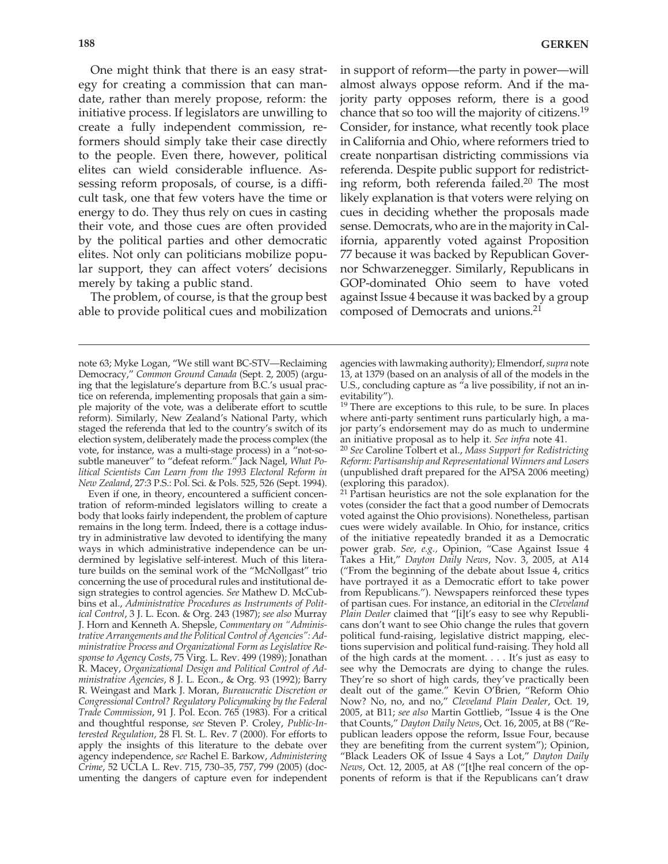One might think that there is an easy strategy for creating a commission that can mandate, rather than merely propose, reform: the initiative process. If legislators are unwilling to create a fully independent commission, reformers should simply take their case directly to the people. Even there, however, political elites can wield considerable influence. Assessing reform proposals, of course, is a difficult task, one that few voters have the time or energy to do. They thus rely on cues in casting their vote, and those cues are often provided by the political parties and other democratic elites. Not only can politicians mobilize popular support, they can affect voters' decisions merely by taking a public stand.

The problem, of course, is that the group best able to provide political cues and mobilization

Even if one, in theory, encountered a sufficient concentration of reform-minded legislators willing to create a body that looks fairly independent, the problem of capture remains in the long term. Indeed, there is a cottage industry in administrative law devoted to identifying the many ways in which administrative independence can be undermined by legislative self-interest. Much of this literature builds on the seminal work of the "McNollgast" trio concerning the use of procedural rules and institutional design strategies to control agencies. *See* Mathew D. McCubbins et al., *Administrative Procedures as Instruments of Political Control*, 3 J. L. Econ. & Org. 243 (1987); *see also* Murray J. Horn and Kenneth A. Shepsle, *Commentary on "Administrative Arrangements and the Political Control of Agencies": Administrative Process and Organizational Form as Legislative Response to Agency Costs*, 75 Virg. L. Rev. 499 (1989); Jonathan R. Macey, *Organizational Design and Political Control of Administrative Agencies*, 8 J. L. Econ., & Org. 93 (1992); Barry R. Weingast and Mark J. Moran, *Bureaucratic Discretion or Congressional Control? Regulatory Policymaking by the Federal Trade Commission*, 91 J. Pol. Econ. 765 (1983). For a critical and thoughtful response, *see* Steven P. Croley, *Public-Interested Regulation*, 28 Fl. St. L. Rev. 7 (2000). For efforts to apply the insights of this literature to the debate over agency independence, *see* Rachel E. Barkow, *Administering Crime*, 52 UCLA L. Rev. 715, 730–35, 757, 799 (2005) (documenting the dangers of capture even for independent in support of reform—the party in power—will almost always oppose reform. And if the majority party opposes reform, there is a good chance that so too will the majority of citizens.19 Consider, for instance, what recently took place in California and Ohio, where reformers tried to create nonpartisan districting commissions via referenda. Despite public support for redistricting reform, both referenda failed.<sup>20</sup> The most likely explanation is that voters were relying on cues in deciding whether the proposals made sense. Democrats, who are in the majority in California, apparently voted against Proposition 77 because it was backed by Republican Governor Schwarzenegger. Similarly, Republicans in GOP-dominated Ohio seem to have voted against Issue 4 because it was backed by a group composed of Democrats and unions.<sup>21</sup>

agencies with lawmaking authority); Elmendorf, *supra* note 13, at 1379 (based on an analysis of all of the models in the U.S., concluding capture as "a live possibility, if not an inevitability").

an initiative proposal as to help it. *See infra* note 41.<br><sup>20</sup> *See* Caroline Tolbert et al., *Mass Support for Redistricting Reform: Partisanship and Representational Winners and Losers* (unpublished draft prepared for the APSA 2006 meeting) (exploring this paradox).

 $21$  Partisan heuristics are not the sole explanation for the votes (consider the fact that a good number of Democrats voted against the Ohio provisions). Nonetheless, partisan cues were widely available. In Ohio, for instance, critics of the initiative repeatedly branded it as a Democratic power grab. *See, e.g.,* Opinion, "Case Against Issue 4 Takes a Hit," *Dayton Daily News*, Nov. 3, 2005, at A14 ("From the beginning of the debate about Issue 4, critics have portrayed it as a Democratic effort to take power from Republicans."). Newspapers reinforced these types of partisan cues. For instance, an editorial in the *Cleveland Plain Dealer* claimed that "[i]t's easy to see why Republicans don't want to see Ohio change the rules that govern political fund-raising, legislative district mapping, elections supervision and political fund-raising. They hold all of the high cards at the moment. . . . It's just as easy to see why the Democrats are dying to change the rules. They're so short of high cards, they've practically been dealt out of the game." Kevin O'Brien, "Reform Ohio Now? No, no, and no," *Cleveland Plain Dealer*, Oct. 19, 2005, at B11; *see also* Martin Gottlieb, "Issue 4 is the One that Counts," *Dayton Daily News*, Oct. 16, 2005, at B8 ("Republican leaders oppose the reform, Issue Four, because they are benefiting from the current system"); Opinion, "Black Leaders OK of Issue 4 Says a Lot," *Dayton Daily News*, Oct. 12, 2005, at A8 ("[t]he real concern of the opponents of reform is that if the Republicans can't draw

note 63; Myke Logan, "We still want BC-STV—Reclaiming Democracy," *Common Ground Canada* (Sept. 2, 2005) (arguing that the legislature's departure from B.C.'s usual practice on referenda, implementing proposals that gain a simple majority of the vote, was a deliberate effort to scuttle reform). Similarly, New Zealand's National Party, which staged the referenda that led to the country's switch of its election system, deliberately made the process complex (the vote, for instance, was a multi-stage process) in a "not-sosubtle maneuver" to "defeat reform." Jack Nagel, *What Political Scientists Can Learn from the 1993 Electoral Reform in New Zealand*, 27:3 P.S.: Pol. Sci. & Pols. 525, 526 (Sept. 1994).

<sup>&</sup>lt;sup>19</sup> There are exceptions to this rule, to be sure. In places where anti-party sentiment runs particularly high, a major party's endorsement may do as much to undermine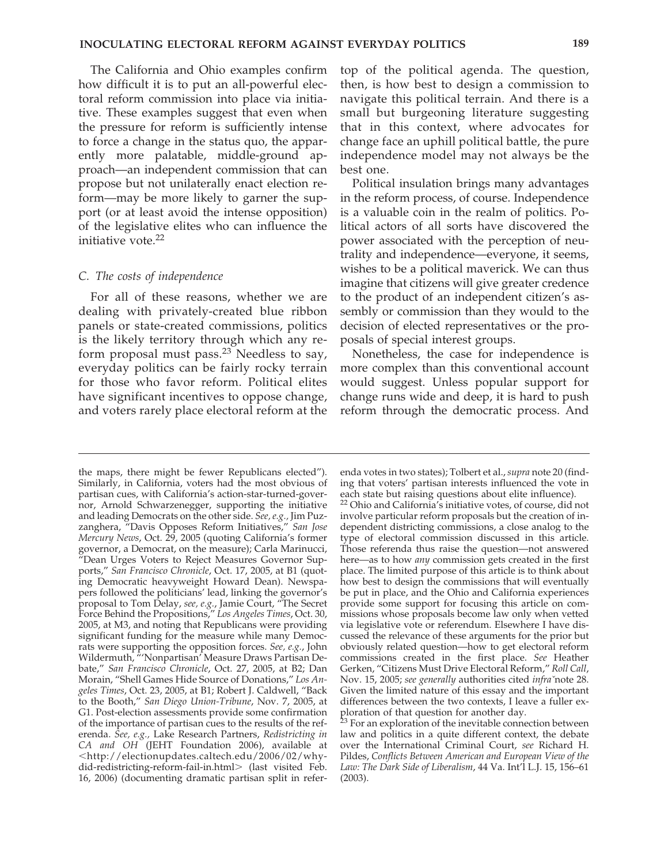The California and Ohio examples confirm how difficult it is to put an all-powerful electoral reform commission into place via initiative. These examples suggest that even when the pressure for reform is sufficiently intense to force a change in the status quo, the apparently more palatable, middle-ground approach—an independent commission that can propose but not unilaterally enact election reform—may be more likely to garner the support (or at least avoid the intense opposition) of the legislative elites who can influence the initiative vote.<sup>22</sup>

#### *C. The costs of independence*

For all of these reasons, whether we are dealing with privately-created blue ribbon panels or state-created commissions, politics is the likely territory through which any reform proposal must pass.<sup>23</sup> Needless to say, everyday politics can be fairly rocky terrain for those who favor reform. Political elites have significant incentives to oppose change, and voters rarely place electoral reform at the top of the political agenda. The question, then, is how best to design a commission to navigate this political terrain. And there is a small but burgeoning literature suggesting that in this context, where advocates for change face an uphill political battle, the pure independence model may not always be the best one.

Political insulation brings many advantages in the reform process, of course. Independence is a valuable coin in the realm of politics. Political actors of all sorts have discovered the power associated with the perception of neutrality and independence—everyone, it seems, wishes to be a political maverick. We can thus imagine that citizens will give greater credence to the product of an independent citizen's assembly or commission than they would to the decision of elected representatives or the proposals of special interest groups.

Nonetheless, the case for independence is more complex than this conventional account would suggest. Unless popular support for change runs wide and deep, it is hard to push reform through the democratic process. And

<sup>22</sup> Ohio and California's initiative votes, of course, did not involve particular reform proposals but the creation of independent districting commissions, a close analog to the type of electoral commission discussed in this article. Those referenda thus raise the question—not answered here—as to how *any* commission gets created in the first place. The limited purpose of this article is to think about how best to design the commissions that will eventually be put in place, and the Ohio and California experiences provide some support for focusing this article on commissions whose proposals become law only when vetted via legislative vote or referendum. Elsewhere I have discussed the relevance of these arguments for the prior but obviously related question—how to get electoral reform commissions created in the first place. *See* Heather Gerken, "Citizens Must Drive Electoral Reform," *Roll Call*, Nov. 15, 2005; *see generally* authorities cited *infraˇ*note 28. Given the limited nature of this essay and the important differences between the two contexts, I leave a fuller exploration of that question for another day.

<sup>23</sup> For an exploration of the inevitable connection between law and politics in a quite different context, the debate over the International Criminal Court, *see* Richard H. Pildes, *Conflicts Between American and European View of the Law: The Dark Side of Liberalism*, 44 Va. Int'l L.J. 15, 156–61 (2003).

the maps, there might be fewer Republicans elected"). Similarly, in California, voters had the most obvious of partisan cues, with California's action-star-turned-governor, Arnold Schwarzenegger, supporting the initiative and leading Democrats on the other side. *See, e.g.,* Jim Puzzanghera, "Davis Opposes Reform Initiatives," *San Jose Mercury News*, Oct. 29, 2005 (quoting California's former governor, a Democrat, on the measure); Carla Marinucci, "Dean Urges Voters to Reject Measures Governor Supports," *San Francisco Chronicle*, Oct. 17, 2005, at B1 (quoting Democratic heavyweight Howard Dean). Newspapers followed the politicians' lead, linking the governor's proposal to Tom Delay, *see, e.g.*, Jamie Court, "The Secret Force Behind the Propositions," *Los Angeles Times*, Oct. 30, 2005, at M3, and noting that Republicans were providing significant funding for the measure while many Democrats were supporting the opposition forces. *See, e.g.*, John Wildermuth, "'Nonpartisan' Measure Draws Partisan Debate," *San Francisco Chronicle*, Oct. 27, 2005, at B2; Dan Morain, "Shell Games Hide Source of Donations," *Los Angeles Times*, Oct. 23, 2005, at B1; Robert J. Caldwell, "Back to the Booth," *San Diego Union-Tribune*, Nov. 7, 2005, at G1. Post-election assessments provide some confirmation of the importance of partisan cues to the results of the referenda. *See, e.g.,* Lake Research Partners, *Redistricting in CA and OH* (JEHT Foundation 2006), available at -http://electionupdates.caltech.edu/2006/02/whydid-redistricting-reform-fail-in.html> (last visited Feb. 16, 2006) (documenting dramatic partisan split in refer-

enda votes in two states); Tolbert et al., *supra* note 20 (finding that voters' partisan interests influenced the vote in each state but raising questions about elite influence).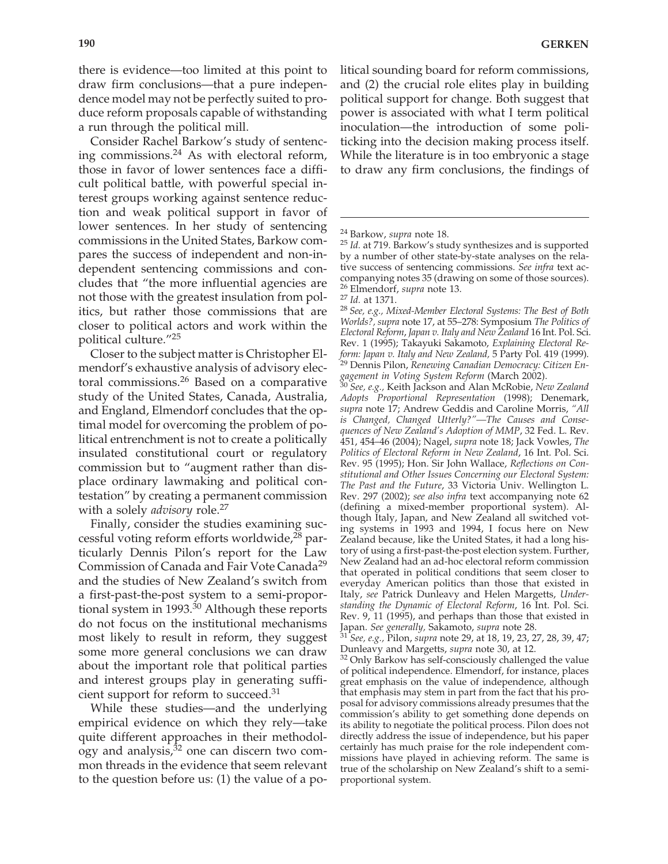there is evidence—too limited at this point to draw firm conclusions—that a pure independence model may not be perfectly suited to produce reform proposals capable of withstanding a run through the political mill.

Consider Rachel Barkow's study of sentencing commissions.<sup>24</sup> As with electoral reform, those in favor of lower sentences face a difficult political battle, with powerful special interest groups working against sentence reduction and weak political support in favor of lower sentences. In her study of sentencing commissions in the United States, Barkow compares the success of independent and non-independent sentencing commissions and concludes that "the more influential agencies are not those with the greatest insulation from politics, but rather those commissions that are closer to political actors and work within the political culture."<sup>25</sup>

Closer to the subject matter is Christopher Elmendorf's exhaustive analysis of advisory electoral commissions.26 Based on a comparative study of the United States, Canada, Australia, and England, Elmendorf concludes that the optimal model for overcoming the problem of political entrenchment is not to create a politically insulated constitutional court or regulatory commission but to "augment rather than displace ordinary lawmaking and political contestation" by creating a permanent commission with a solely *advisory* role.<sup>27</sup>

Finally, consider the studies examining successful voting reform efforts worldwide,<sup>28</sup> particularly Dennis Pilon's report for the Law Commission of Canada and Fair Vote Canada<sup>29</sup> and the studies of New Zealand's switch from a first-past-the-post system to a semi-proportional system in  $1993.<sup>30</sup>$  Although these reports do not focus on the institutional mechanisms most likely to result in reform, they suggest some more general conclusions we can draw about the important role that political parties and interest groups play in generating sufficient support for reform to succeed.<sup>31</sup>

While these studies—and the underlying empirical evidence on which they rely—take quite different approaches in their methodology and analysis, $32$  one can discern two common threads in the evidence that seem relevant to the question before us: (1) the value of a political sounding board for reform commissions, and (2) the crucial role elites play in building political support for change. Both suggest that power is associated with what I term political inoculation—the introduction of some politicking into the decision making process itself. While the literature is in too embryonic a stage to draw any firm conclusions, the findings of

*gagement in Voting System Reform* (March 2002). <sup>30</sup> *See, e.g.,* Keith Jackson and Alan McRobie, *New Zealand Adopts Proportional Representation* (1998); Denemark, *supra* note 17; Andrew Geddis and Caroline Morris, *"All is Changed, Changed Utterly?"—The Causes and Consequences of New Zealand's Adoption of MMP*, 32 Fed. L. Rev. 451, 454–46 (2004); Nagel, *supra* note 18; Jack Vowles, *The Politics of Electoral Reform in New Zealand*, 16 Int. Pol. Sci. Rev. 95 (1995); Hon. Sir John Wallace, *Reflections on Constitutional and Other Issues Concerning our Electoral System: The Past and the Future*, 33 Victoria Univ. Wellington L. Rev. 297 (2002); *see also infra* text accompanying note 62 (defining a mixed-member proportional system). Although Italy, Japan, and New Zealand all switched voting systems in 1993 and 1994, I focus here on New Zealand because, like the United States, it had a long history of using a first-past-the-post election system. Further, New Zealand had an ad-hoc electoral reform commission that operated in political conditions that seem closer to everyday American politics than those that existed in Italy, *see* Patrick Dunleavy and Helen Margetts, *Understanding the Dynamic of Electoral Reform*, 16 Int. Pol. Sci. Rev. 9, 11 (1995), and perhaps than those that existed in

Japan. *See generally,* Sakamoto, *supra* note 28.<br><sup>31</sup> *See, e.g.,* Pilon, *supra* note 29, at 18, 19, 23, 27, 28, 39, 47;<br>Dunleavy and Margetts, *supra* note 30, at 12.

<sup>32</sup> Only Barkow has self-consciously challenged the value of political independence. Elmendorf, for instance, places great emphasis on the value of independence, although that emphasis may stem in part from the fact that his proposal for advisory commissions already presumes that the commission's ability to get something done depends on its ability to negotiate the political process. Pilon does not directly address the issue of independence, but his paper certainly has much praise for the role independent commissions have played in achieving reform. The same is true of the scholarship on New Zealand's shift to a semiproportional system.

<sup>&</sup>lt;sup>24</sup> Barkow, *supra* note 18.<br><sup>25</sup> *Id.* at 719. Barkow's study synthesizes and is supported by a number of other state-by-state analyses on the relative success of sentencing commissions. *See infra* text accompanying notes 35 (drawing on some of those sources).<br><sup>26</sup> Elmendorf, *supra* note 13.

<sup>26</sup> Elmendorf, *supra* note 13. <sup>27</sup> *Id.* at 1371. <sup>28</sup> *See, e.g., Mixed-Member Electoral Systems: The Best of Both Worlds?, supra* note 17, at 55–278: Symposium *The Politics of Electoral Reform*, *Japan v. Italy and New Zealand* 16 Int. Pol. Sci. Rev. 1 (1995); Takayuki Sakamoto, *Explaining Electoral Re-*<sup>29</sup> Dennis Pilon, Renewing Canadian Democracy: Citizen En-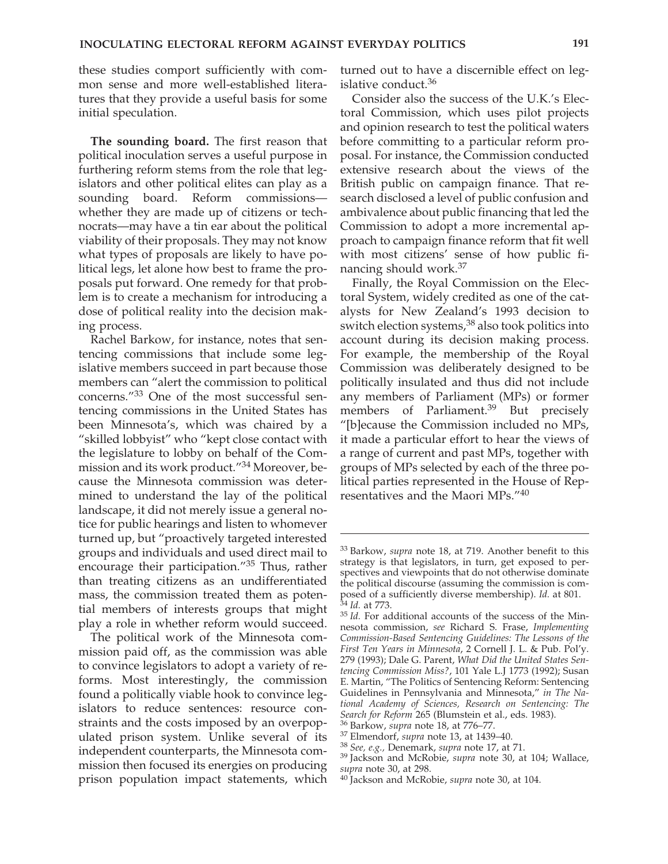these studies comport sufficiently with common sense and more well-established literatures that they provide a useful basis for some initial speculation.

**The sounding board.** The first reason that political inoculation serves a useful purpose in furthering reform stems from the role that legislators and other political elites can play as a sounding board. Reform commissions whether they are made up of citizens or technocrats—may have a tin ear about the political viability of their proposals. They may not know what types of proposals are likely to have political legs, let alone how best to frame the proposals put forward. One remedy for that problem is to create a mechanism for introducing a dose of political reality into the decision making process.

Rachel Barkow, for instance, notes that sentencing commissions that include some legislative members succeed in part because those members can "alert the commission to political concerns."<sup>33</sup> One of the most successful sentencing commissions in the United States has been Minnesota's, which was chaired by a "skilled lobbyist" who "kept close contact with the legislature to lobby on behalf of the Commission and its work product."34 Moreover, because the Minnesota commission was determined to understand the lay of the political landscape, it did not merely issue a general notice for public hearings and listen to whomever turned up, but "proactively targeted interested groups and individuals and used direct mail to encourage their participation."35 Thus, rather than treating citizens as an undifferentiated mass, the commission treated them as potential members of interests groups that might play a role in whether reform would succeed.

The political work of the Minnesota commission paid off, as the commission was able to convince legislators to adopt a variety of reforms. Most interestingly, the commission found a politically viable hook to convince legislators to reduce sentences: resource constraints and the costs imposed by an overpopulated prison system. Unlike several of its independent counterparts, the Minnesota commission then focused its energies on producing prison population impact statements, which

turned out to have a discernible effect on legislative conduct.<sup>36</sup>

Consider also the success of the U.K.'s Electoral Commission, which uses pilot projects and opinion research to test the political waters before committing to a particular reform proposal. For instance, the Commission conducted extensive research about the views of the British public on campaign finance. That research disclosed a level of public confusion and ambivalence about public financing that led the Commission to adopt a more incremental approach to campaign finance reform that fit well with most citizens' sense of how public financing should work.37

Finally, the Royal Commission on the Electoral System, widely credited as one of the catalysts for New Zealand's 1993 decision to switch election systems,<sup>38</sup> also took politics into account during its decision making process. For example, the membership of the Royal Commission was deliberately designed to be politically insulated and thus did not include any members of Parliament (MPs) or former members of Parliament.<sup>39</sup> But precisely "[b]ecause the Commission included no MPs, it made a particular effort to hear the views of a range of current and past MPs, together with groups of MPs selected by each of the three political parties represented in the House of Representatives and the Maori MPs."40

<sup>33</sup> Barkow, *supra* note 18, at 719. Another benefit to this strategy is that legislators, in turn, get exposed to perspectives and viewpoints that do not otherwise dominate the political discourse (assuming the commission is composed of a sufficiently diverse membership). *Id.* at 801. <sup>34</sup> *Id.* at 773. <sup>35</sup> *Id.* For additional accounts of the success of the Min-

nesota commission, *see* Richard S. Frase, *Implementing Commission-Based Sentencing Guidelines: The Lessons of the First Ten Years in Minnesota*, 2 Cornell J. L. & Pub. Pol'y. 279 (1993); Dale G. Parent, *What Did the United States Sentencing Commission Miss?*, 101 Yale L.J 1773 (1992); Susan E. Martin, "The Politics of Sentencing Reform: Sentencing Guidelines in Pennsylvania and Minnesota," *in The National Academy of Sciences, Research on Sentencing: The*

<sup>&</sup>lt;sup>36</sup> Barkow, *supra* note 18, at 776–77.<br><sup>37</sup> Elmendorf, *supra* note 13, at 1439–40.<br><sup>38</sup> *See*, *e.g.*, Denemark, *supra* note 17, at 71.<br><sup>39</sup> Jackson and McRobie, *supra* note 30, at 104; Wallace, *supra* note 30, at 298. <sup>40</sup> Jackson and McRobie, *supra* note 30, at 104.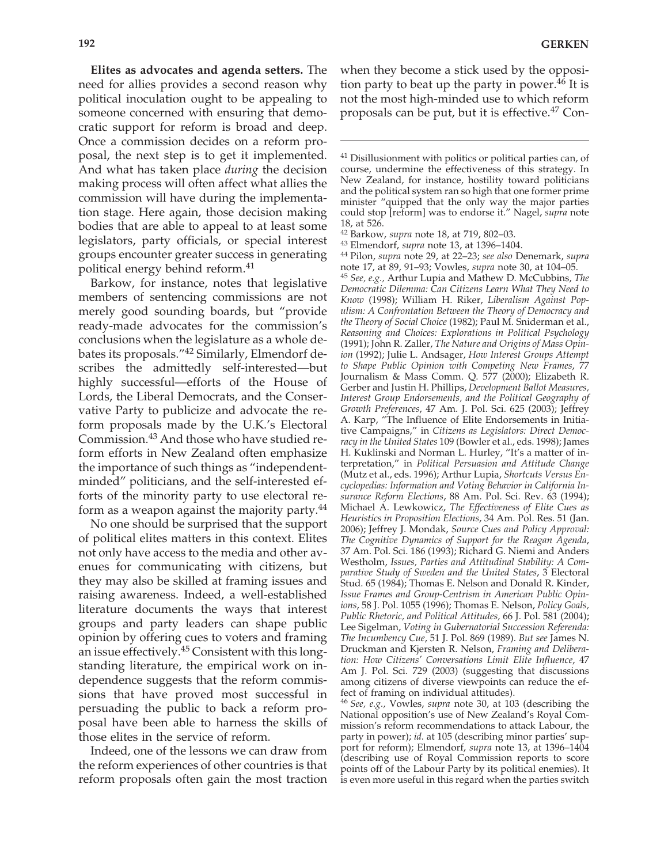**Elites as advocates and agenda setters.** The need for allies provides a second reason why political inoculation ought to be appealing to someone concerned with ensuring that democratic support for reform is broad and deep. Once a commission decides on a reform proposal, the next step is to get it implemented. And what has taken place *during* the decision making process will often affect what allies the commission will have during the implementation stage. Here again, those decision making bodies that are able to appeal to at least some legislators, party officials, or special interest groups encounter greater success in generating political energy behind reform.<sup>41</sup>

Barkow, for instance, notes that legislative members of sentencing commissions are not merely good sounding boards, but "provide ready-made advocates for the commission's conclusions when the legislature as a whole debates its proposals."42 Similarly, Elmendorf describes the admittedly self-interested—but highly successful—efforts of the House of Lords, the Liberal Democrats, and the Conservative Party to publicize and advocate the reform proposals made by the U.K.'s Electoral Commission.<sup>43</sup> And those who have studied reform efforts in New Zealand often emphasize the importance of such things as "independentminded" politicians, and the self-interested efforts of the minority party to use electoral reform as a weapon against the majority party.<sup>44</sup>

No one should be surprised that the support of political elites matters in this context. Elites not only have access to the media and other avenues for communicating with citizens, but they may also be skilled at framing issues and raising awareness. Indeed, a well-established literature documents the ways that interest groups and party leaders can shape public opinion by offering cues to voters and framing an issue effectively.<sup>45</sup> Consistent with this longstanding literature, the empirical work on independence suggests that the reform commissions that have proved most successful in persuading the public to back a reform proposal have been able to harness the skills of those elites in the service of reform.

Indeed, one of the lessons we can draw from the reform experiences of other countries is that reform proposals often gain the most traction

when they become a stick used by the opposition party to beat up the party in power.  $46$  It is not the most high-minded use to which reform proposals can be put, but it is effective.47 Con-

<sup>42</sup> Barkow, *supra* note 18, at 719, 802–03. <sup>43</sup> Elmendorf, *supra* note 13, at 1396–1404. <sup>44</sup> Pilon, *supra* note 29, at 22–23; *see also* Denemark, *supra*

note 17, at 89, 91–93; Vowles, *supra* note 30, at 104–05. <sup>45</sup> *See, e.g.,* Arthur Lupia and Mathew D. McCubbins, *The Democratic Dilemma: Can Citizens Learn What They Need to Know* (1998); William H. Riker, *Liberalism Against Populism: A Confrontation Between the Theory of Democracy and the Theory of Social Choice* (1982); Paul M. Sniderman et al., *Reasoning and Choices: Explorations in Political Psychology* (1991); John R. Zaller, *The Nature and Origins of Mass Opinion* (1992); Julie L. Andsager, *How Interest Groups Attempt to Shape Public Opinion with Competing New Frames*, 77 Journalism & Mass Comm. Q. 577 (2000); Elizabeth R. Gerber and Justin H. Phillips, *Development Ballot Measures, Interest Group Endorsements, and the Political Geography of Growth Preferences*, 47 Am. J. Pol. Sci. 625 (2003); Jeffrey A. Karp, "The Influence of Elite Endorsements in Initiative Campaigns," in *Citizens as Legislators: Direct Democracy in the United States* 109 (Bowler et al., eds. 1998); James H. Kuklinski and Norman L. Hurley, "It's a matter of interpretation," in *Political Persuasion and Attitude Change* (Mutz et al., eds. 1996); Arthur Lupia, *Shortcuts Versus Encyclopedias: Information and Voting Behavior in California Insurance Reform Elections*, 88 Am. Pol. Sci. Rev. 63 (1994); Michael A. Lewkowicz, *The Effectiveness of Elite Cues as Heuristics in Proposition Elections*, 34 Am. Pol. Res. 51 (Jan. 2006); Jeffrey J. Mondak, *Source Cues and Policy Approval: The Cognitive Dynamics of Support for the Reagan Agenda*, 37 Am. Pol. Sci. 186 (1993); Richard G. Niemi and Anders Westholm, *Issues, Parties and Attitudinal Stability: A Comparative Study of Sweden and the United States*, 3 Electoral Stud. 65 (1984); Thomas E. Nelson and Donald R. Kinder, *Issue Frames and Group-Centrism in American Public Opinions*, 58 J. Pol. 1055 (1996); Thomas E. Nelson, *Policy Goals, Public Rhetoric, and Political Attitudes,* 66 J. Pol. 581 (2004); Lee Sigelman, *Voting in Gubernatorial Succession Referenda: The Incumbency Cue*, 51 J. Pol. 869 (1989). *But see* James N. Druckman and Kjersten R. Nelson, *Framing and Deliberation: How Citizens' Conversations Limit Elite Influence*, 47 Am J. Pol. Sci. 729 (2003) (suggesting that discussions among citizens of diverse viewpoints can reduce the effect of framing on individual attitudes).

<sup>46</sup> *See, e.g.,* Vowles, *supra* note 30, at 103 (describing the National opposition's use of New Zealand's Royal Commission's reform recommendations to attack Labour, the party in power); *id.* at 105 (describing minor parties' support for reform); Elmendorf, *supra* note 13, at 1396–1404 (describing use of Royal Commission reports to score points off of the Labour Party by its political enemies). It is even more useful in this regard when the parties switch

<sup>&</sup>lt;sup>41</sup> Disillusionment with politics or political parties can, of course, undermine the effectiveness of this strategy. In New Zealand, for instance, hostility toward politicians and the political system ran so high that one former prime minister "quipped that the only way the major parties could stop [reform] was to endorse it." Nagel, *supra* note

<sup>18,</sup> at 526.<br><sup>42</sup> Barkow, *supra* note 18, at 719, 802–03.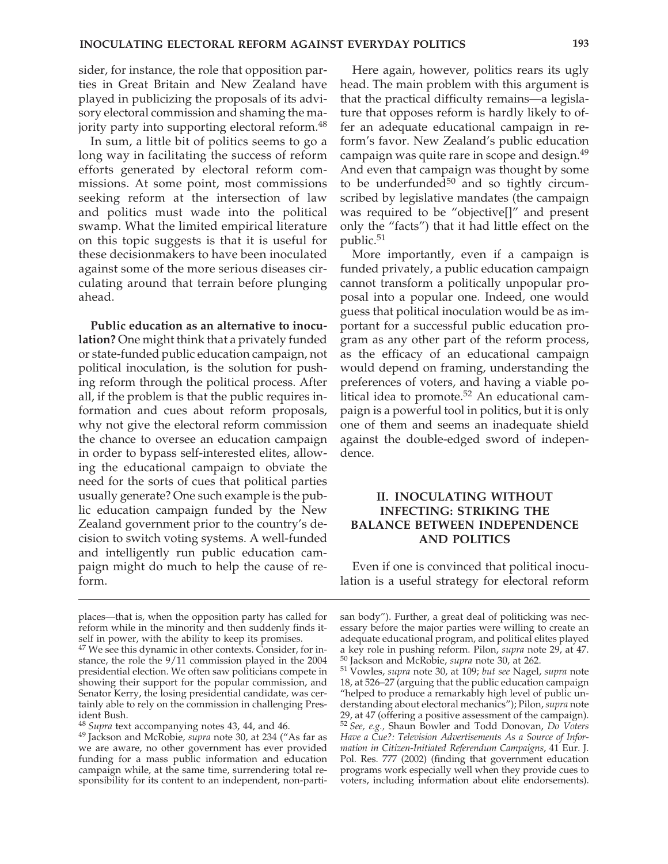sider, for instance, the role that opposition parties in Great Britain and New Zealand have played in publicizing the proposals of its advisory electoral commission and shaming the majority party into supporting electoral reform.<sup>48</sup>

In sum, a little bit of politics seems to go a long way in facilitating the success of reform efforts generated by electoral reform commissions. At some point, most commissions seeking reform at the intersection of law and politics must wade into the political swamp. What the limited empirical literature on this topic suggests is that it is useful for these decisionmakers to have been inoculated against some of the more serious diseases circulating around that terrain before plunging ahead.

**Public education as an alternative to inoculation?** One might think that a privately funded or state-funded public education campaign, not political inoculation, is the solution for pushing reform through the political process. After all, if the problem is that the public requires information and cues about reform proposals, why not give the electoral reform commission the chance to oversee an education campaign in order to bypass self-interested elites, allowing the educational campaign to obviate the need for the sorts of cues that political parties usually generate? One such example is the public education campaign funded by the New Zealand government prior to the country's decision to switch voting systems. A well-funded and intelligently run public education campaign might do much to help the cause of reform.

Here again, however, politics rears its ugly head. The main problem with this argument is that the practical difficulty remains—a legislature that opposes reform is hardly likely to offer an adequate educational campaign in reform's favor. New Zealand's public education campaign was quite rare in scope and design.<sup>49</sup> And even that campaign was thought by some to be underfunded $50$  and so tightly circumscribed by legislative mandates (the campaign was required to be "objective[]" and present only the "facts") that it had little effect on the public.<sup>51</sup>

More importantly, even if a campaign is funded privately, a public education campaign cannot transform a politically unpopular proposal into a popular one. Indeed, one would guess that political inoculation would be as important for a successful public education program as any other part of the reform process, as the efficacy of an educational campaign would depend on framing, understanding the preferences of voters, and having a viable political idea to promote.<sup>52</sup> An educational campaign is a powerful tool in politics, but it is only one of them and seems an inadequate shield against the double-edged sword of independence.

## **II. INOCULATING WITHOUT INFECTING: STRIKING THE BALANCE BETWEEN INDEPENDENCE AND POLITICS**

Even if one is convinced that political inoculation is a useful strategy for electoral reform

places—that is, when the opposition party has called for reform while in the minority and then suddenly finds itself in power, with the ability to keep its promises.

 $47$  We see this dynamic in other contexts. Consider, for instance, the role the 9/11 commission played in the 2004 presidential election. We often saw politicians compete in showing their support for the popular commission, and Senator Kerry, the losing presidential candidate, was certainly able to rely on the commission in challenging President Bush.<br><sup>48</sup> Supra text accompanying notes 43, 44, and 46.

<sup>&</sup>lt;sup>49</sup> Jackson and McRobie, *supra* note 30, at 234 ("As far as we are aware, no other government has ever provided funding for a mass public information and education campaign while, at the same time, surrendering total responsibility for its content to an independent, non-parti-

san body"). Further, a great deal of politicking was necessary before the major parties were willing to create an adequate educational program, and political elites played a key role in pushing reform. Pilon, *supra* note 29, at 47. <sup>50</sup> Jackson and McRobie*, supra* note 30, at 262.<br><sup>51</sup> Vowles*, supra* note 30, at 109; *but see* Nagel, *supra* note

<sup>18,</sup> at 526–27 (arguing that the public education campaign "helped to produce a remarkably high level of public understanding about electoral mechanics"); Pilon, *supra* note 29, at 47 (offering a positive assessment of the campaign). <sup>52</sup> *See, e.g.,* Shaun Bowler and Todd Donovan, *Do Voters Have a Cue?: Television Advertisements As a Source of Information in Citizen-Initiated Referendum Campaigns*, 41 Eur. J. Pol. Res. 777 (2002) (finding that government education programs work especially well when they provide cues to voters, including information about elite endorsements).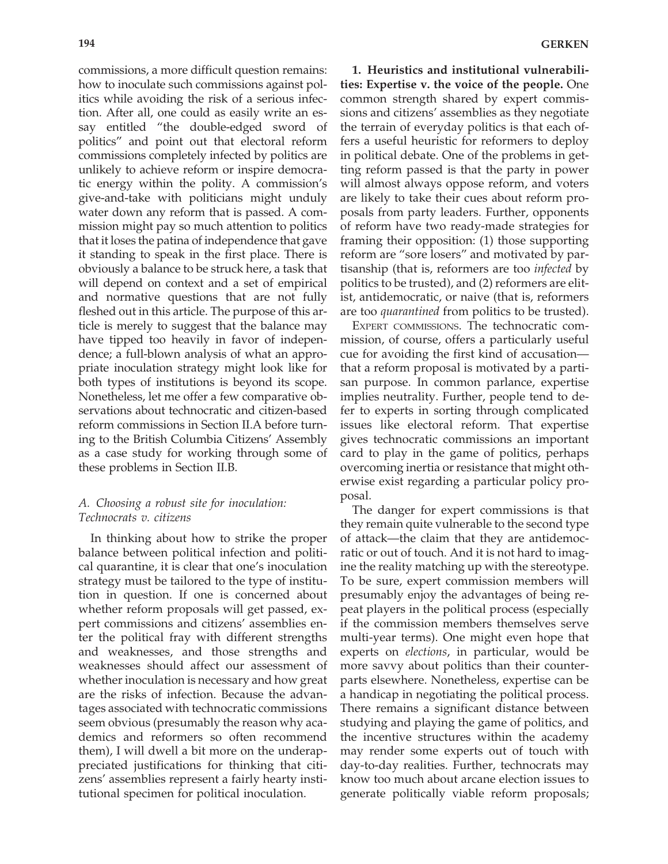commissions, a more difficult question remains: how to inoculate such commissions against politics while avoiding the risk of a serious infection. After all, one could as easily write an essay entitled "the double-edged sword of politics" and point out that electoral reform commissions completely infected by politics are unlikely to achieve reform or inspire democratic energy within the polity. A commission's give-and-take with politicians might unduly water down any reform that is passed. A commission might pay so much attention to politics that it loses the patina of independence that gave it standing to speak in the first place. There is obviously a balance to be struck here, a task that will depend on context and a set of empirical and normative questions that are not fully fleshed out in this article. The purpose of this article is merely to suggest that the balance may have tipped too heavily in favor of independence; a full-blown analysis of what an appropriate inoculation strategy might look like for both types of institutions is beyond its scope. Nonetheless, let me offer a few comparative observations about technocratic and citizen-based reform commissions in Section II.A before turning to the British Columbia Citizens' Assembly as a case study for working through some of these problems in Section II.B.

### *A. Choosing a robust site for inoculation: Technocrats v. citizens*

In thinking about how to strike the proper balance between political infection and political quarantine, it is clear that one's inoculation strategy must be tailored to the type of institution in question. If one is concerned about whether reform proposals will get passed, expert commissions and citizens' assemblies enter the political fray with different strengths and weaknesses, and those strengths and weaknesses should affect our assessment of whether inoculation is necessary and how great are the risks of infection. Because the advantages associated with technocratic commissions seem obvious (presumably the reason why academics and reformers so often recommend them), I will dwell a bit more on the underappreciated justifications for thinking that citizens' assemblies represent a fairly hearty institutional specimen for political inoculation.

**1. Heuristics and institutional vulnerabilities: Expertise v. the voice of the people.** One common strength shared by expert commissions and citizens' assemblies as they negotiate the terrain of everyday politics is that each offers a useful heuristic for reformers to deploy in political debate. One of the problems in getting reform passed is that the party in power will almost always oppose reform, and voters are likely to take their cues about reform proposals from party leaders. Further, opponents of reform have two ready-made strategies for framing their opposition: (1) those supporting reform are "sore losers" and motivated by partisanship (that is, reformers are too *infected* by politics to be trusted), and (2) reformers are elitist, antidemocratic, or naive (that is, reformers are too *quarantined* from politics to be trusted).

EXPERT COMMISSIONS. The technocratic commission, of course, offers a particularly useful cue for avoiding the first kind of accusation that a reform proposal is motivated by a partisan purpose. In common parlance, expertise implies neutrality. Further, people tend to defer to experts in sorting through complicated issues like electoral reform. That expertise gives technocratic commissions an important card to play in the game of politics, perhaps overcoming inertia or resistance that might otherwise exist regarding a particular policy proposal.

The danger for expert commissions is that they remain quite vulnerable to the second type of attack—the claim that they are antidemocratic or out of touch. And it is not hard to imagine the reality matching up with the stereotype. To be sure, expert commission members will presumably enjoy the advantages of being repeat players in the political process (especially if the commission members themselves serve multi-year terms). One might even hope that experts on *elections*, in particular, would be more savvy about politics than their counterparts elsewhere. Nonetheless, expertise can be a handicap in negotiating the political process. There remains a significant distance between studying and playing the game of politics, and the incentive structures within the academy may render some experts out of touch with day-to-day realities. Further, technocrats may know too much about arcane election issues to generate politically viable reform proposals;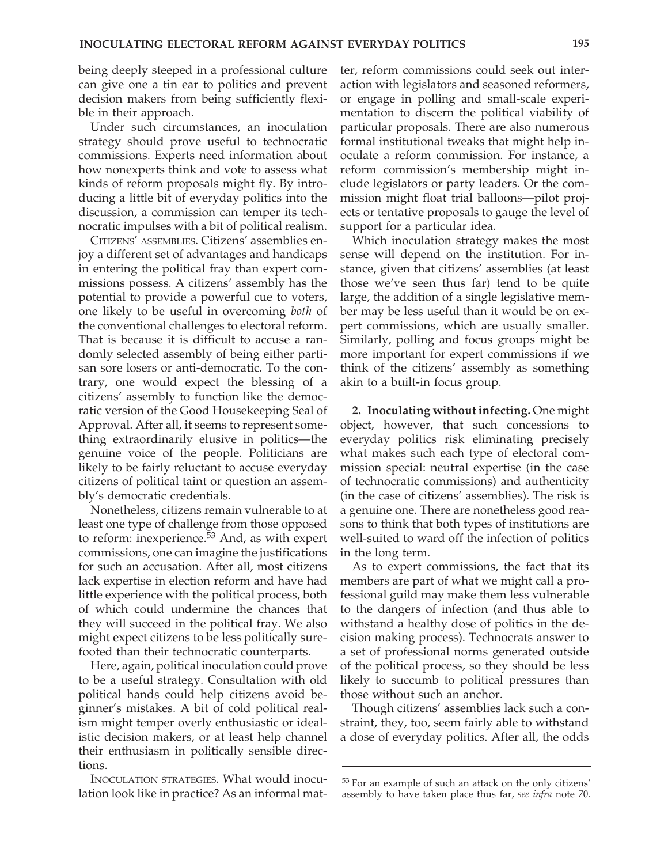being deeply steeped in a professional culture can give one a tin ear to politics and prevent decision makers from being sufficiently flexible in their approach.

Under such circumstances, an inoculation strategy should prove useful to technocratic commissions. Experts need information about how nonexperts think and vote to assess what kinds of reform proposals might fly. By introducing a little bit of everyday politics into the discussion, a commission can temper its technocratic impulses with a bit of political realism.

CITIZENS' ASSEMBLIES. Citizens' assemblies enjoy a different set of advantages and handicaps in entering the political fray than expert commissions possess. A citizens' assembly has the potential to provide a powerful cue to voters, one likely to be useful in overcoming *both* of the conventional challenges to electoral reform. That is because it is difficult to accuse a randomly selected assembly of being either partisan sore losers or anti-democratic. To the contrary, one would expect the blessing of a citizens' assembly to function like the democratic version of the Good Housekeeping Seal of Approval. After all, it seems to represent something extraordinarily elusive in politics—the genuine voice of the people. Politicians are likely to be fairly reluctant to accuse everyday citizens of political taint or question an assembly's democratic credentials.

Nonetheless, citizens remain vulnerable to at least one type of challenge from those opposed to reform: inexperience.<sup>53</sup> And, as with expert commissions, one can imagine the justifications for such an accusation. After all, most citizens lack expertise in election reform and have had little experience with the political process, both of which could undermine the chances that they will succeed in the political fray. We also might expect citizens to be less politically surefooted than their technocratic counterparts.

Here, again, political inoculation could prove to be a useful strategy. Consultation with old political hands could help citizens avoid beginner's mistakes. A bit of cold political realism might temper overly enthusiastic or idealistic decision makers, or at least help channel their enthusiasm in politically sensible directions.

INOCULATION STRATEGIES. What would inoculation look like in practice? As an informal matter, reform commissions could seek out interaction with legislators and seasoned reformers, or engage in polling and small-scale experimentation to discern the political viability of particular proposals. There are also numerous formal institutional tweaks that might help inoculate a reform commission. For instance, a reform commission's membership might include legislators or party leaders. Or the commission might float trial balloons—pilot projects or tentative proposals to gauge the level of support for a particular idea.

Which inoculation strategy makes the most sense will depend on the institution. For instance, given that citizens' assemblies (at least those we've seen thus far) tend to be quite large, the addition of a single legislative member may be less useful than it would be on expert commissions, which are usually smaller. Similarly, polling and focus groups might be more important for expert commissions if we think of the citizens' assembly as something akin to a built-in focus group.

**2. Inoculating without infecting.** One might object, however, that such concessions to everyday politics risk eliminating precisely what makes such each type of electoral commission special: neutral expertise (in the case of technocratic commissions) and authenticity (in the case of citizens' assemblies). The risk is a genuine one. There are nonetheless good reasons to think that both types of institutions are well-suited to ward off the infection of politics in the long term.

As to expert commissions, the fact that its members are part of what we might call a professional guild may make them less vulnerable to the dangers of infection (and thus able to withstand a healthy dose of politics in the decision making process). Technocrats answer to a set of professional norms generated outside of the political process, so they should be less likely to succumb to political pressures than those without such an anchor.

Though citizens' assemblies lack such a constraint, they, too, seem fairly able to withstand a dose of everyday politics. After all, the odds

<sup>53</sup> For an example of such an attack on the only citizens' assembly to have taken place thus far, *see infra* note 70.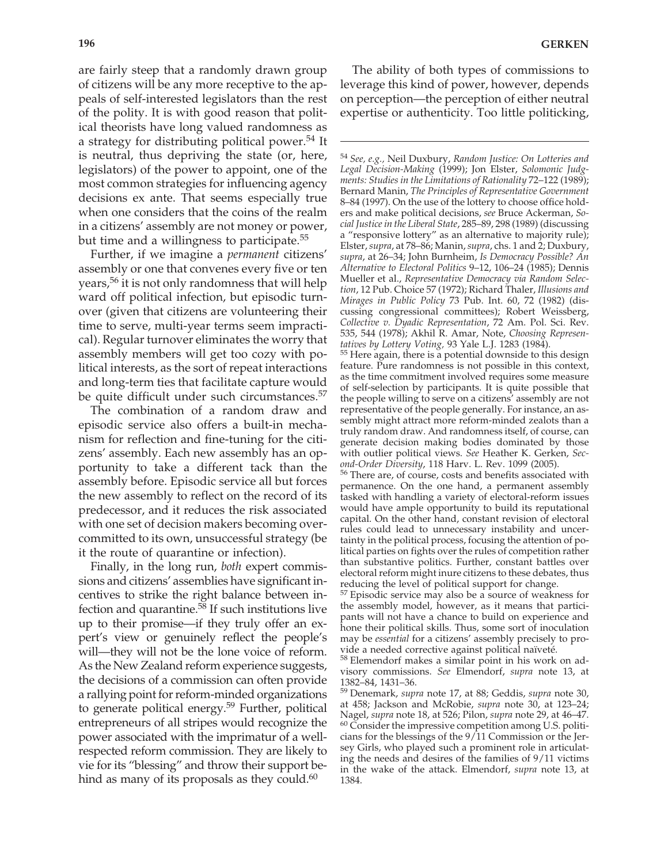are fairly steep that a randomly drawn group of citizens will be any more receptive to the appeals of self-interested legislators than the rest of the polity. It is with good reason that political theorists have long valued randomness as a strategy for distributing political power.<sup>54</sup> It is neutral, thus depriving the state (or, here, legislators) of the power to appoint, one of the most common strategies for influencing agency decisions ex ante. That seems especially true when one considers that the coins of the realm in a citizens' assembly are not money or power, but time and a willingness to participate.<sup>55</sup>

Further, if we imagine a *permanent* citizens' assembly or one that convenes every five or ten years,56 it is not only randomness that will help ward off political infection, but episodic turnover (given that citizens are volunteering their time to serve, multi-year terms seem impractical). Regular turnover eliminates the worry that assembly members will get too cozy with political interests, as the sort of repeat interactions and long-term ties that facilitate capture would be quite difficult under such circumstances.<sup>57</sup>

The combination of a random draw and episodic service also offers a built-in mechanism for reflection and fine-tuning for the citizens' assembly. Each new assembly has an opportunity to take a different tack than the assembly before. Episodic service all but forces the new assembly to reflect on the record of its predecessor, and it reduces the risk associated with one set of decision makers becoming overcommitted to its own, unsuccessful strategy (be it the route of quarantine or infection).

Finally, in the long run, *both* expert commissions and citizens' assemblies have significant incentives to strike the right balance between infection and quarantine.58 If such institutions live up to their promise—if they truly offer an expert's view or genuinely reflect the people's will—they will not be the lone voice of reform. As the New Zealand reform experience suggests, the decisions of a commission can often provide a rallying point for reform-minded organizations to generate political energy.59 Further, political entrepreneurs of all stripes would recognize the power associated with the imprimatur of a wellrespected reform commission. They are likely to vie for its "blessing" and throw their support behind as many of its proposals as they could. $60$ 

The ability of both types of commissions to leverage this kind of power, however, depends on perception—the perception of either neutral expertise or authenticity. Too little politicking,

<sup>54</sup> *See, e.g.,* Neil Duxbury, *Random Justice: On Lotteries and Legal Decision-Making* (1999); Jon Elster, *Solomonic Judgments: Studies in the Limitations of Rationality* 72–122 (1989); Bernard Manin, *The Principles of Representative Government* 8–84 (1997). On the use of the lottery to choose office holders and make political decisions, *see* Bruce Ackerman, *Social Justice in the Liberal State*, 285–89, 298 (1989) (discussing a "responsive lottery" as an alternative to majority rule); Elster, *supra*, at 78–86; Manin, *supra*, chs. 1 and 2; Duxbury, *supra*, at 26–34; John Burnheim, *Is Democracy Possible? An Alternative to Electoral Politics* 9–12, 106–24 (1985); Dennis Mueller et al., *Representative Democracy via Random Selection*, 12 Pub. Choice 57 (1972); Richard Thaler, *Illusions and Mirages in Public Policy* 73 Pub. Int. 60, 72 (1982) (discussing congressional committees); Robert Weissberg, *Collective v. Dyadic Representation*, 72 Am. Pol. Sci. Rev. 535, 544 (1978); Akhil R. Amar, Note, *Choosing Represen-*

*tatives by Lottery Voting, 93 Yale L.J.* 1283 (1984).<br><sup>55</sup> Here again, there is a potential downside to this design feature. Pure randomness is not possible in this context, as the time commitment involved requires some measure of self-selection by participants. It is quite possible that the people willing to serve on a citizens' assembly are not representative of the people generally. For instance, an assembly might attract more reform-minded zealots than a truly random draw. And randomness itself, of course, can generate decision making bodies dominated by those with outlier political views. *See* Heather K. Gerken, *Sec-*

<sup>56</sup> There are, of course, costs and benefits associated with permanence. On the one hand, a permanent assembly tasked with handling a variety of electoral-reform issues would have ample opportunity to build its reputational capital. On the other hand, constant revision of electoral rules could lead to unnecessary instability and uncertainty in the political process, focusing the attention of political parties on fights over the rules of competition rather than substantive politics. Further, constant battles over electoral reform might inure citizens to these debates, thus reducing the level of political support for change.

<sup>57</sup> Episodic service may also be a source of weakness for the assembly model, however, as it means that participants will not have a chance to build on experience and hone their political skills. Thus, some sort of inoculation may be *essential* for a citizens' assembly precisely to provide a needed corrective against political naïveté.

<sup>58</sup> Elemendorf makes a similar point in his work on advisory commissions. *See* Elmendorf, *supra* note 13, at 1382–84, 1431–36.

<sup>59</sup> Denemark, *supra* note 17, at 88; Geddis, *supra* note 30, at 458; Jackson and McRobie, *supra* note 30, at 123–24; <sup>60</sup> Consider the impressive competition among U.S. politicians for the blessings of the 9/11 Commission or the Jersey Girls, who played such a prominent role in articulating the needs and desires of the families of 9/11 victims in the wake of the attack. Elmendorf, *supra* note 13, at 1384.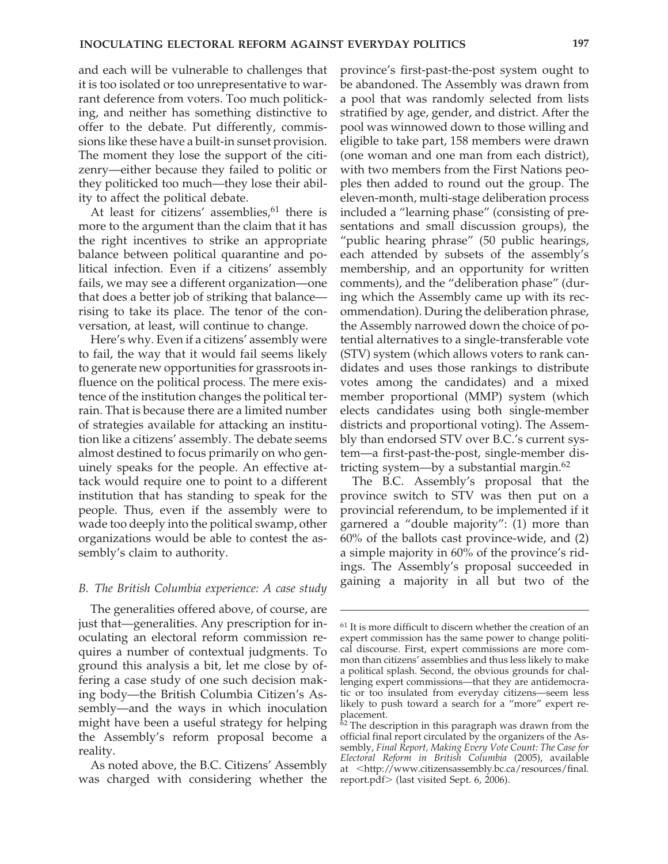and each will be vulnerable to challenges that it is too isolated or too unrepresentative to warrant deference from voters. Too much politicking, and neither has something distinctive to offer to the debate. Put differently, commissions like these have a built-in sunset provision. The moment they lose the support of the citizenry—either because they failed to politic or they politicked too much—they lose their ability to affect the political debate.

At least for citizens' assemblies,  $61$  there is more to the argument than the claim that it has the right incentives to strike an appropriate balance between political quarantine and political infection. Even if a citizens' assembly fails, we may see a different organization—one that does a better job of striking that balance rising to take its place. The tenor of the conversation, at least, will continue to change.

Here's why. Even if a citizens' assembly were to fail, the way that it would fail seems likely to generate new opportunities for grassroots influence on the political process. The mere existence of the institution changes the political terrain. That is because there are a limited number of strategies available for attacking an institution like a citizens' assembly. The debate seems almost destined to focus primarily on who genuinely speaks for the people. An effective attack would require one to point to a different institution that has standing to speak for the people. Thus, even if the assembly were to wade too deeply into the political swamp, other organizations would be able to contest the assembly's claim to authority.

#### *B. The British Columbia experience: A case study*

The generalities offered above, of course, are just that—generalities. Any prescription for inoculating an electoral reform commission requires a number of contextual judgments. To ground this analysis a bit, let me close by offering a case study of one such decision making body—the British Columbia Citizen's Assembly—and the ways in which inoculation might have been a useful strategy for helping the Assembly's reform proposal become a reality.

As noted above, the B.C. Citizens' Assembly was charged with considering whether the

province's first-past-the-post system ought to be abandoned. The Assembly was drawn from a pool that was randomly selected from lists stratified by age, gender, and district. After the pool was winnowed down to those willing and eligible to take part, 158 members were drawn (one woman and one man from each district), with two members from the First Nations peoples then added to round out the group. The eleven-month, multi-stage deliberation process included a "learning phase" (consisting of presentations and small discussion groups), the "public hearing phrase" (50 public hearings, each attended by subsets of the assembly's membership, and an opportunity for written comments), and the "deliberation phase" (during which the Assembly came up with its recommendation). During the deliberation phrase, the Assembly narrowed down the choice of potential alternatives to a single-transferable vote (STV) system (which allows voters to rank candidates and uses those rankings to distribute votes among the candidates) and a mixed member proportional (MMP) system (which elects candidates using both single-member districts and proportional voting). The Assembly than endorsed STV over B.C.'s current system—a first-past-the-post, single-member districting system—by a substantial margin. $62$ 

The B.C. Assembly's proposal that the province switch to STV was then put on a provincial referendum, to be implemented if it garnered a "double majority": (1) more than 60% of the ballots cast province-wide, and (2) a simple majority in 60% of the province's ridings. The Assembly's proposal succeeded in gaining a majority in all but two of the

 $61$  It is more difficult to discern whether the creation of an expert commission has the same power to change political discourse. First, expert commissions are more common than citizens' assemblies and thus less likely to make a political splash. Second, the obvious grounds for challenging expert commissions—that they are antidemocratic or too insulated from everyday citizens—seem less likely to push toward a search for a "more" expert replacement.

 $62$  The description in this paragraph was drawn from the official final report circulated by the organizers of the Assembly, *Final Report, Making Every Vote Count: The Case for Electoral Reform in British Columbia* (2005), available at -http://www.citizensassembly.bc.ca/resources/final. report.pdf  $>$  (last visited Sept. 6, 2006).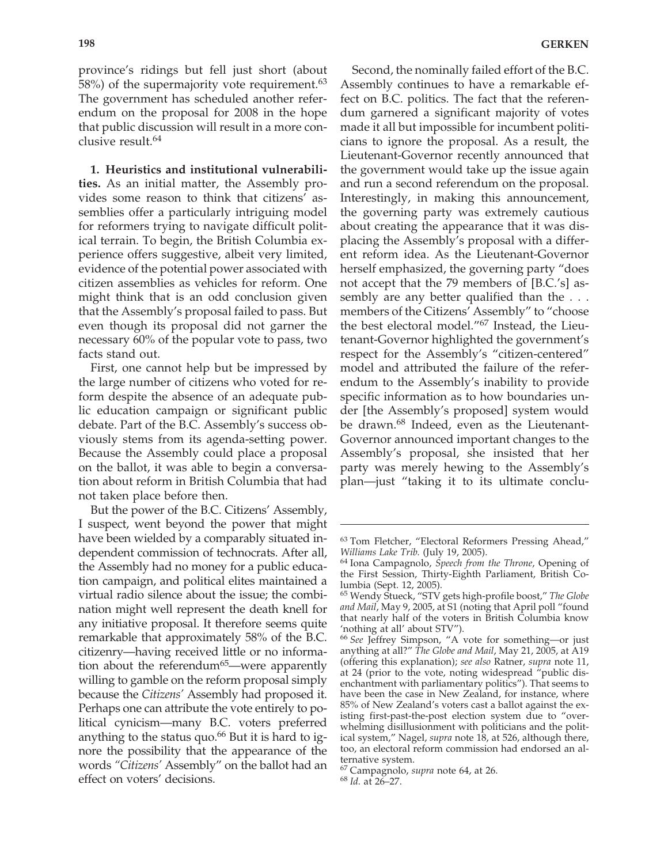province's ridings but fell just short (about 58%) of the supermajority vote requirement.<sup>63</sup> The government has scheduled another referendum on the proposal for 2008 in the hope that public discussion will result in a more conclusive result.<sup>64</sup>

**1. Heuristics and institutional vulnerabilities.** As an initial matter, the Assembly provides some reason to think that citizens' assemblies offer a particularly intriguing model for reformers trying to navigate difficult political terrain. To begin, the British Columbia experience offers suggestive, albeit very limited, evidence of the potential power associated with citizen assemblies as vehicles for reform. One might think that is an odd conclusion given that the Assembly's proposal failed to pass. But even though its proposal did not garner the necessary 60% of the popular vote to pass, two facts stand out.

First, one cannot help but be impressed by the large number of citizens who voted for reform despite the absence of an adequate public education campaign or significant public debate. Part of the B.C. Assembly's success obviously stems from its agenda-setting power. Because the Assembly could place a proposal on the ballot, it was able to begin a conversation about reform in British Columbia that had not taken place before then.

But the power of the B.C. Citizens' Assembly, I suspect, went beyond the power that might have been wielded by a comparably situated independent commission of technocrats. After all, the Assembly had no money for a public education campaign, and political elites maintained a virtual radio silence about the issue; the combination might well represent the death knell for any initiative proposal. It therefore seems quite remarkable that approximately 58% of the B.C. citizenry—having received little or no information about the referendum<sup>65</sup>—were apparently willing to gamble on the reform proposal simply because the *Citizens'* Assembly had proposed it. Perhaps one can attribute the vote entirely to political cynicism—many B.C. voters preferred anything to the status quo. $^{66}$  But it is hard to ignore the possibility that the appearance of the words *"Citizens'* Assembly" on the ballot had an effect on voters' decisions.

Second, the nominally failed effort of the B.C. Assembly continues to have a remarkable effect on B.C. politics. The fact that the referendum garnered a significant majority of votes made it all but impossible for incumbent politicians to ignore the proposal. As a result, the Lieutenant-Governor recently announced that the government would take up the issue again and run a second referendum on the proposal. Interestingly, in making this announcement, the governing party was extremely cautious about creating the appearance that it was displacing the Assembly's proposal with a different reform idea. As the Lieutenant-Governor herself emphasized, the governing party "does not accept that the 79 members of [B.C.'s] assembly are any better qualified than the . . . members of the Citizens' Assembly" to "choose the best electoral model."67 Instead, the Lieutenant-Governor highlighted the government's respect for the Assembly's "citizen-centered" model and attributed the failure of the referendum to the Assembly's inability to provide specific information as to how boundaries under [the Assembly's proposed] system would be drawn.<sup>68</sup> Indeed, even as the Lieutenant-Governor announced important changes to the Assembly's proposal, she insisted that her party was merely hewing to the Assembly's plan—just "taking it to its ultimate conclu-

 $63$  Tom Fletcher, "Electoral Reformers Pressing Ahead," Williams Lake Trib. (July 19, 2005).

<sup>&</sup>lt;sup>64</sup> Iona Campagnolo, *Speech from the Throne*, Opening of the First Session, Thirty-Eighth Parliament, British Columbia (Sept. 12, 2005).

<sup>65</sup> Wendy Stueck, "STV gets high-profile boost," *The Globe and Mail*, May 9, 2005, at S1 (noting that April poll "found that nearly half of the voters in British Columbia know 'nothing at all' about STV").

<sup>66</sup> *See* Jeffrey Simpson, "A vote for something—or just anything at all?" The Globe and Mail, May 21, 2005, at A19 (offering this explanation); *see also* Ratner, *supra* note 11, at 24 (prior to the vote, noting widespread "public disenchantment with parliamentary politics"). That seems to have been the case in New Zealand, for instance, where 85% of New Zealand's voters cast a ballot against the existing first-past-the-post election system due to "overwhelming disillusionment with politicians and the political system," Nagel, *supra* note 18, at 526, although there, too, an electoral reform commission had endorsed an alternative system.

<sup>67</sup> Campagnolo, *supra* note 64, at 26. <sup>68</sup> *Id.* at 26–27.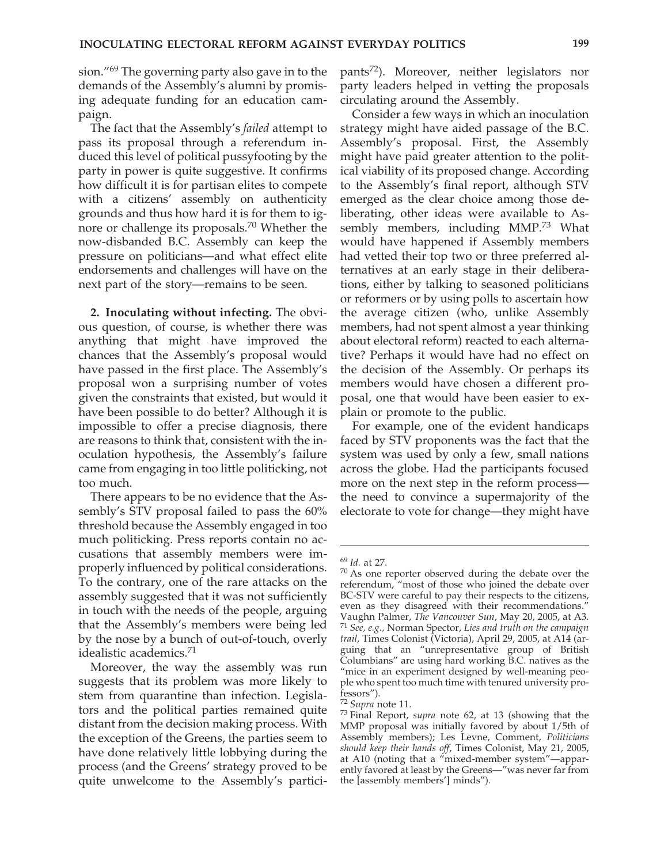sion."69 The governing party also gave in to the demands of the Assembly's alumni by promising adequate funding for an education campaign.

The fact that the Assembly's *failed* attempt to pass its proposal through a referendum induced this level of political pussyfooting by the party in power is quite suggestive. It confirms how difficult it is for partisan elites to compete with a citizens' assembly on authenticity grounds and thus how hard it is for them to ignore or challenge its proposals.<sup>70</sup> Whether the now-disbanded B.C. Assembly can keep the pressure on politicians—and what effect elite endorsements and challenges will have on the next part of the story—remains to be seen.

**2. Inoculating without infecting.** The obvious question, of course, is whether there was anything that might have improved the chances that the Assembly's proposal would have passed in the first place. The Assembly's proposal won a surprising number of votes given the constraints that existed, but would it have been possible to do better? Although it is impossible to offer a precise diagnosis, there are reasons to think that, consistent with the inoculation hypothesis, the Assembly's failure came from engaging in too little politicking, not too much.

There appears to be no evidence that the Assembly's STV proposal failed to pass the 60% threshold because the Assembly engaged in too much politicking. Press reports contain no accusations that assembly members were improperly influenced by political considerations. To the contrary, one of the rare attacks on the assembly suggested that it was not sufficiently in touch with the needs of the people, arguing that the Assembly's members were being led by the nose by a bunch of out-of-touch, overly idealistic academics.<sup>71</sup>

Moreover, the way the assembly was run suggests that its problem was more likely to stem from quarantine than infection. Legislators and the political parties remained quite distant from the decision making process. With the exception of the Greens, the parties seem to have done relatively little lobbying during the process (and the Greens' strategy proved to be quite unwelcome to the Assembly's partici-

pants72). Moreover, neither legislators nor party leaders helped in vetting the proposals circulating around the Assembly.

Consider a few ways in which an inoculation strategy might have aided passage of the B.C. Assembly's proposal. First, the Assembly might have paid greater attention to the political viability of its proposed change. According to the Assembly's final report, although STV emerged as the clear choice among those deliberating, other ideas were available to Assembly members, including MMP.<sup>73</sup> What would have happened if Assembly members had vetted their top two or three preferred alternatives at an early stage in their deliberations, either by talking to seasoned politicians or reformers or by using polls to ascertain how the average citizen (who, unlike Assembly members, had not spent almost a year thinking about electoral reform) reacted to each alternative? Perhaps it would have had no effect on the decision of the Assembly. Or perhaps its members would have chosen a different proposal, one that would have been easier to explain or promote to the public.

For example, one of the evident handicaps faced by STV proponents was the fact that the system was used by only a few, small nations across the globe. Had the participants focused more on the next step in the reform process the need to convince a supermajority of the electorate to vote for change—they might have

 $\frac{69 \text{ Id.}}{70 \text{ As}}$  one reporter observed during the debate over the referendum, "most of those who joined the debate over BC-STV were careful to pay their respects to the citizens, even as they disagreed with their recommendations."<br>Vaughn Palmer, The Vancouver Sun, May 20, 2005, at A3. <sup>71</sup> See, e.g., Norman Spector, Lies and truth on the campaign *trail*, Times Colonist (Victoria), April 29, 2005, at A14 (arguing that an "unrepresentative group of British Columbians" are using hard working B.C. natives as the "mice in an experiment designed by well-meaning people who spent too much time with tenured university pro-

fessors").<br><sup>72</sup> Supra note 11.

<sup>&</sup>lt;sup>73</sup> Final Report, *supra* note 62, at 13 (showing that the MMP proposal was initially favored by about 1/5th of Assembly members); Les Levne, Comment, *Politicians should keep their hands off*, Times Colonist, May 21, 2005, at A10 (noting that a "mixed-member system"—apparently favored at least by the Greens—"was never far from the [assembly members'] minds").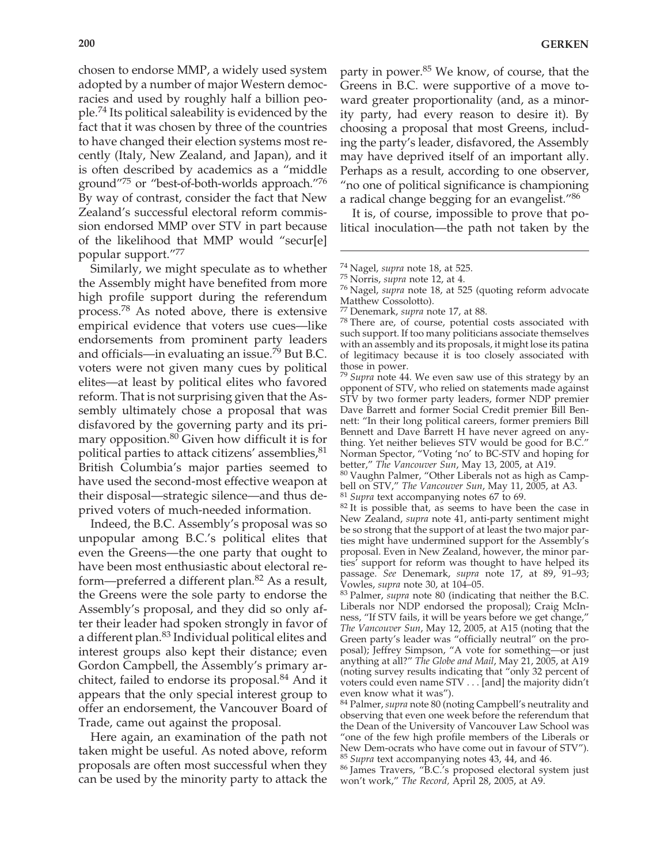chosen to endorse MMP, a widely used system adopted by a number of major Western democracies and used by roughly half a billion people.74 Its political saleability is evidenced by the fact that it was chosen by three of the countries to have changed their election systems most recently (Italy, New Zealand, and Japan), and it is often described by academics as a "middle ground"75 or "best-of-both-worlds approach."76 By way of contrast, consider the fact that New Zealand's successful electoral reform commission endorsed MMP over STV in part because of the likelihood that MMP would "secur[e] popular support."77

Similarly, we might speculate as to whether the Assembly might have benefited from more high profile support during the referendum process.<sup>78</sup> As noted above, there is extensive empirical evidence that voters use cues—like endorsements from prominent party leaders and officials—in evaluating an issue.79 But B.C. voters were not given many cues by political elites—at least by political elites who favored reform. That is not surprising given that the Assembly ultimately chose a proposal that was disfavored by the governing party and its primary opposition.80 Given how difficult it is for political parties to attack citizens' assemblies,<sup>81</sup> British Columbia's major parties seemed to have used the second-most effective weapon at their disposal—strategic silence—and thus deprived voters of much-needed information.

Indeed, the B.C. Assembly's proposal was so unpopular among B.C.'s political elites that even the Greens—the one party that ought to have been most enthusiastic about electoral reform—preferred a different plan.<sup>82</sup> As a result, the Greens were the sole party to endorse the Assembly's proposal, and they did so only after their leader had spoken strongly in favor of a different plan.<sup>83</sup> Individual political elites and interest groups also kept their distance; even Gordon Campbell, the Assembly's primary architect, failed to endorse its proposal.84 And it appears that the only special interest group to offer an endorsement, the Vancouver Board of Trade, came out against the proposal.

Here again, an examination of the path not taken might be useful. As noted above, reform proposals are often most successful when they can be used by the minority party to attack the

party in power.85 We know, of course, that the Greens in B.C. were supportive of a move toward greater proportionality (and, as a minority party, had every reason to desire it). By choosing a proposal that most Greens, including the party's leader, disfavored, the Assembly may have deprived itself of an important ally. Perhaps as a result, according to one observer, "no one of political significance is championing a radical change begging for an evangelist."86

It is, of course, impossible to prove that political inoculation—the path not taken by the

<sup>81</sup> *Supra* text accompanying notes 67 to 69. <sup>82</sup> It is possible that, as seems to have been the case in New Zealand, *supra* note 41, anti-party sentiment might be so strong that the support of at least the two major parties might have undermined support for the Assembly's proposal. Even in New Zealand, however, the minor parties' support for reform was thought to have helped its passage. *See* Denemark, *supra* note 17, at 89, 91–93;

<sup>83</sup> Palmer, *supra* note 80 (indicating that neither the B.C. Liberals nor NDP endorsed the proposal); Craig McInness, "If STV fails, it will be years before we get change," *The Vancouver Sun*, May 12, 2005, at A15 (noting that the Green party's leader was "officially neutral" on the proposal); Jeffrey Simpson, "A vote for something—or just anything at all?" *The Globe and Mail*, May 21, 2005, at A19 (noting survey results indicating that "only 32 percent of voters could even name STV . . . [and] the majority didn't even know what it was").

<sup>84</sup> Palmer, *supra* note 80 (noting Campbell's neutrality and observing that even one week before the referendum that the Dean of the University of Vancouver Law School was "one of the few high profile members of the Liberals or New Dem-ocrats who have come out in favour of STV").<br><sup>85</sup> Supra text accompanying notes 43, 44, and 46.

<sup>86</sup> James Travers, "B.C.'s proposed electoral system just won't work," *The Record,* April 28, 2005, at A9.

<sup>74</sup> Nagel, *supra* note 18, at 525. <sup>75</sup> Norris, *supra* note 12, at 4. <sup>76</sup> Nagel, *supra* note 18, at 525 (quoting reform advocate Matthew Cossolotto).<br><sup>77</sup> Denemark, *supra* note 17, at 88.

<sup>&</sup>lt;sup>78</sup> There are, of course, potential costs associated with such support. If too many politicians associate themselves with an assembly and its proposals, it might lose its patina of legitimacy because it is too closely associated with those in power.

<sup>79</sup> *Supra* note 44. We even saw use of this strategy by an opponent of STV, who relied on statements made against STV by two former party leaders, former NDP premier Dave Barrett and former Social Credit premier Bill Bennett: "In their long political careers, former premiers Bill Bennett and Dave Barrett H have never agreed on anything. Yet neither believes STV would be good for B.C." Norman Spector, "Voting 'no' to BC-STV and hoping for better," The Vancouver Sun, May 13, 2005, at A19.

<sup>&</sup>lt;sup>80</sup> Vaughn Palmer, "Other Liberals not as high as Camp-<br>bell on STV," The Vancouver Sun, May 11, 2005, at A3.